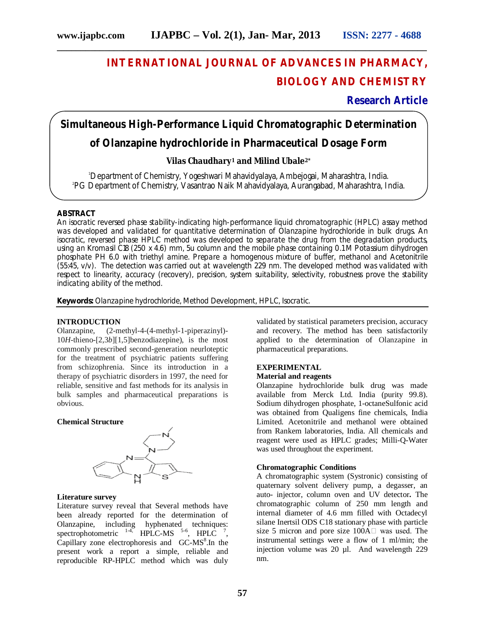# **INTERNATIONAL JOURNAL OF ADVANCES IN PHARMACY, BIOLOGY AND CHEMISTRY**

### **Research Article**

# **Simultaneous High-Performance Liquid Chromatographic Determination**

**\_\_\_\_\_\_\_\_\_\_\_\_\_\_\_\_\_\_\_\_\_\_\_\_\_\_\_\_\_\_\_\_\_\_\_\_\_\_\_\_\_\_\_\_\_\_\_\_\_\_\_\_\_\_\_\_\_\_\_\_\_\_\_\_\_\_\_\_\_\_\_\_\_\_\_\_\_\_**

# **of Olanzapine hydrochloride in Pharmaceutical Dosage Form**

#### **Vilas Chaudhary<sup>1</sup> and Milind Ubale2\***

<sup>1</sup>Department of Chemistry, Yogeshwari Mahavidyalaya, Ambejogai, Maharashtra, India. 2 PG Department of Chemistry, Vasantrao Naik Mahavidyalaya, Aurangabad, Maharashtra, India.

#### **ABSTRACT**

An isocratic reversed phase stability-indicating high-performance liquid chromatographic (HPLC) assay method was developed and validated for quantitative determination of Olanzapine hydrochloride in bulk drugs. An isocratic, reversed phase HPLC method was developed to separate the drug from the degradation products, using an Kromasil C18 (250 x 4.6) mm, 5u column and the mobile phase containing 0.1 M Potassium dihydrogen phosphate PH 6.0 with triethyl amine. Prepare a homogenous mixture of buffer, methanol and Acetonitrile (55:45, v/v). The detection was carried out at wavelength 229 nm. The developed method was validated with respect to linearity, accuracy (recovery), precision, system suitability, selectivity, robustness prove the stability indicating ability of the method.

**Keywords:** Olanzapine hydrochloride, Method Development, HPLC, Isocratic.

#### **INTRODUCTION**

Olanzapine, (2-methyl-4-(4-methyl-1-piperazinyl)- 10*H*-thieno-[2,3*b*][1,5]benzodiazepine), is the most commonly prescribed second-generation neurloteptic for the treatment of psychiatric patients suffering from schizophrenia. Since its introduction in a therapy of psychiatric disorders in 1997, the need for reliable, sensitive and fast methods for its analysis in bulk samples and pharmaceutical preparations is obvious.

#### **Chemical Structure**



#### **Literature survey**

Literature survey reveal that Several methods have been already reported for the determination of Olanzapine, including hyphenated techniques: spectrophotometric  $^{14}$ , HPLC-MS  $^{5-6}$ , HPLC  $^{7}$ , Capillary zone electrophoresis and GC-MS<sup>8</sup>. In the present work a report a simple, reliable and reproducible RP-HPLC method which was duly

validated by statistical parameters precision, accuracy and recovery. The method has been satisfactorily applied to the determination of Olanzapine in pharmaceutical preparations.

## **EXPERIMENTAL**

#### **Material and reagents**

Olanzapine hydrochloride bulk drug was made available from Merck Ltd. India (purity 99.8). Sodium dihydrogen phosphate, 1-octaneSulfonic acid was obtained from Qualigens fine chemicals, India Limited. Acetonitrile and methanol were obtained from Rankem laboratories, India. All chemicals and reagent were used as HPLC grades; Milli-Q-Water was used throughout the experiment.

#### **Chromatographic Conditions**

A chromatographic system (Systronic) consisting of quaternary solvent delivery pump, a degasser, an auto- injector, column oven and UV detector*.* The chromatographic column of 250 mm length and internal diameter of 4.6 mm filled with Octadecyl silane Inertsil ODS C18 stationary phase with particle size 5 micron and pore size  $100A \Box$  was used. The instrumental settings were a flow of 1 ml/min; the injection volume was 20 µl. And wavelength 229 nm.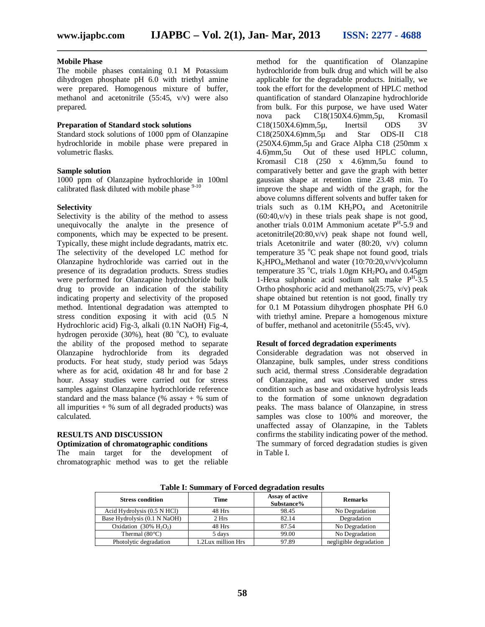**\_\_\_\_\_\_\_\_\_\_\_\_\_\_\_\_\_\_\_\_\_\_\_\_\_\_\_\_\_\_\_\_\_\_\_\_\_\_\_\_\_\_\_\_\_\_\_\_\_\_\_\_\_\_\_\_\_\_\_\_\_\_\_\_\_\_\_\_\_\_\_\_\_\_\_\_\_\_**

#### **Mobile Phase**

The mobile phases containing 0.1 M Potassium dihydrogen phosphate pH 6.0 with triethyl amine were prepared. Homogenous mixture of buffer, methanol and acetonitrile (55:45, v/v) were also prepared.

#### **Preparation of Standard stock solutions**

Standard stock solutions of 1000 ppm of Olanzapine hydrochloride in mobile phase were prepared in volumetric flasks.

#### **Sample solution**

1000 ppm of Olanzapine hydrochloride in 100ml calibrated flask diluted with mobile phase <sup>9-10</sup>

#### **Selectivity**

Selectivity is the ability of the method to assess unequivocally the analyte in the presence of components, which may be expected to be present. Typically, these might include degradants, matrix etc. The selectivity of the developed LC method for Olanzapine hydrochloride was carried out in the presence of its degradation products. Stress studies were performed for Olanzapine hydrochloride bulk drug to provide an indication of the stability indicating property and selectivity of the proposed method. Intentional degradation was attempted to stress condition exposing it with acid (0.5 N Hydrochloric acid) Fig-3, alkali (0.1N NaOH) Fig-4, hydrogen peroxide (30%), heat (80 $^{\circ}$ C), to evaluate the ability of the proposed method to separate Olanzapine hydrochloride from its degraded products. For heat study, study period was 5days where as for acid, oxidation 48 hr and for base 2 hour. Assay studies were carried out for stress samples against Olanzapine hydrochloride reference standard and the mass balance ( $%$  assay +  $%$  sum of all impurities  $+$  % sum of all degraded products) was calculated.

#### **RESULTS AND DISCUSSION**

#### **Optimization of chromatographic conditions**

The main target for the development of chromatographic method was to get the reliable method for the quantification of Olanzapine hydrochloride from bulk drug and which will be also applicable for the degradable products. Initially, we took the effort for the development of HPLC method quantification of standard Olanzapine hydrochloride from bulk. For this purpose, we have used Water nova pack C18(150X4.6)mm,5µ, Kromasil C18(150X4.6)mm,5µ, Inertsil ODS 3V<br>C18(250X4.6)mm.5u and Star ODS-II C18 C18(250X4.6)mm,5µ and Star ODS-II C18  $(250X4.6)$ mm, 5µ and Grace Alpha C18 (250mm x 4.6)mm,5u Out of these used HPLC column, Kromasil C18 (250 x 4.6)mm,5u found to comparatively better and gave the graph with better gaussian shape at retention time 23.48 min. To improve the shape and width of the graph, for the above columns different solvents and buffer taken for trials such as  $0.1M$  KH<sub>2</sub>PO<sub>4</sub> and Acetonitrile  $(60:40,v/v)$  in these trials peak shape is not good, another trials  $0.01M$  Ammonium acetate  $P<sup>H</sup>$ -5.9 and acetonitrile(20:80,v/v) peak shape not found well, trials Acetonitrile and water (80:20, v/v) column temperature  $35^{\circ}$ C peak shape not found good, trials  $K_2HPO_4$ , Methanol and water (10:70:20, v/v/v)column temperature 35  $^{\circ}$ C, trials 1.0gm KH<sub>2</sub>PO<sub>4</sub> and 0.45gm 1-Hexa sulphonic acid sodium salt make P<sup>H</sup>-3.5 Ortho phosphoric acid and methanol $(25:75, v/v)$  peak shape obtained but retention is not good, finally try for 0.1 M Potassium dihydrogen phosphate PH 6.0 with triethyl amine. Prepare a homogenous mixture of buffer, methanol and acetonitrile (55:45, v/v).

#### **Result of forced degradation experiments**

Considerable degradation was not observed in Olanzapine, bulk samples, under stress conditions such acid, thermal stress .Considerable degradation of Olanzapine, and was observed under stress condition such as base and oxidative hydrolysis leads to the formation of some unknown degradation peaks. The mass balance of Olanzapine, in stress samples was close to 100% and moreover, the unaffected assay of Olanzapine, in the Tablets confirms the stability indicating power of the method. The summary of forced degradation studies is given in Table I.

| <b>Stress condition</b>                  | <b>Time</b>        | Assay of active<br>Substance% | <b>Remarks</b>         |
|------------------------------------------|--------------------|-------------------------------|------------------------|
| Acid Hydrolysis (0.5 N HCl)              | 48 Hrs             | 98.45                         | No Degradation         |
| Base Hydrolysis (0.1 N NaOH)             | 2 Hrs              | 82.14                         | Degradation            |
| Oxidation $(30\% \text{ H}, \text{O}_2)$ | 48 Hrs             | 87.54                         | No Degradation         |
| Thermal $(80^{\circ}C)$                  | 5 days             | 99.00                         | No Degradation         |
| Photolytic degradation                   | 1.2Lux million Hrs | 97.89                         | negligible degradation |

**Table I: Summary of Forced degradation results**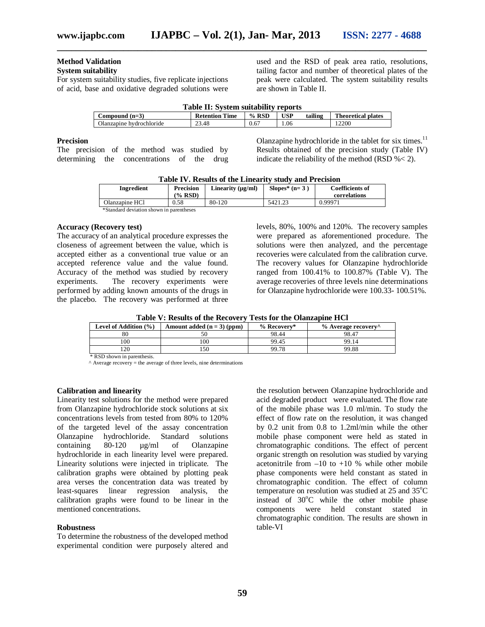# **Method Validation**

#### **System suitability**

For system suitability studies, five replicate injections of acid, base and oxidative degraded solutions were used and the RSD of peak area ratio, resolutions, tailing factor and number of theoretical plates of the peak were calculated. The system suitability results are shown in Table II.

|                          | <b>Table II: System suitability reports</b> |         |            |         |                           |
|--------------------------|---------------------------------------------|---------|------------|---------|---------------------------|
| Compound $(n=3)$         | <b>Retention Time</b>                       | $%$ RSD | <b>USP</b> | tailing | <b>Theoretical plates</b> |
| Olanzapine hydrochloride | 23.48                                       | 0.67    | 1.06       |         | 12200                     |

#### **Precision**

The precision of the method was studied by determining the concentrations of the drug Olanzapine hydrochloride in the tablet for six times.<sup>11</sup> Results obtained of the precision study (Table IV) indicate the reliability of the method (RSD %< 2).

|                                          |           | Table IV. Results of the Emeality study and I recision |                 |                        |
|------------------------------------------|-----------|--------------------------------------------------------|-----------------|------------------------|
| <b>Ingredient</b>                        | Precision | Linearity $(\mu g/ml)$                                 | Slopes* $(n=3)$ | <b>Coefficients of</b> |
|                                          | (% RSD)   |                                                        |                 | correlations           |
| Olanzapine HCl                           | 0.58      | 80-120                                                 | 5421.23         | 0.99971                |
| *Standard deviation shown in parentheses |           |                                                        |                 |                        |

#### **Table IV. Results of the Linearity study and Precision**

**Accuracy (Recovery test)**

The accuracy of an analytical procedure expresses the closeness of agreement between the value, which is accepted either as a conventional true value or an accepted reference value and the value found. Accuracy of the method was studied by recovery experiments. The recovery experiments were performed by adding known amounts of the drugs in the placebo. The recovery was performed at three

levels, 80%, 100% and 120%. The recovery samples were prepared as aforementioned procedure. The solutions were then analyzed, and the percentage recoveries were calculated from the calibration curve. The recovery values for Olanzapine hydrochloride ranged from 100.41% to 100.87% (Table V). The average recoveries of three levels nine determinations for Olanzapine hydrochloride were 100.33- 100.51%.

| Level of Addition (%) | Amount added $(n = 3)$ (ppm) | % Recovery* | % Average recovery^ |
|-----------------------|------------------------------|-------------|---------------------|
| 80                    |                              | 98.44       | 98.47               |
| 100                   | 00                           | 99.45       | 99.14               |
| 20                    | 50                           | 99.78       | 99.88               |

 \* RSD shown in parenthesis.  $^{\circ}$  Average recovery = the average of three levels, nine determinations

#### **Calibration and linearity**

Linearity test solutions for the method were prepared from Olanzapine hydrochloride stock solutions at six concentrations levels from tested from 80% to 120% of the targeted level of the assay concentration<br>Olanzapine hydrochloride. Standard solutions Olanzapine hydrochloride.<br>containing  $80-120 \text{ µg/ml}$  $80-120$   $\mu$ g/ml of Olanzapine hydrochloride in each linearity level were prepared. Linearity solutions were injected in triplicate. The calibration graphs were obtained by plotting peak area verses the concentration data was treated by least-squares linear regression analysis, the calibration graphs were found to be linear in the mentioned concentrations.

#### **Robustness**

To determine the robustness of the developed method experimental condition were purposely altered and

the resolution between Olanzapine hydrochloride and acid degraded product were evaluated. The flow rate of the mobile phase was 1.0 ml/min. To study the effect of flow rate on the resolution, it was changed by 0.2 unit from 0.8 to 1.2ml/min while the other mobile phase component were held as stated in chromatographic conditions. The effect of percent organic strength on resolution was studied by varying acetonitrile from  $-10$  to  $+10$  % while other mobile phase components were held constant as stated in chromatographic condition. The effect of column temperature on resolution was studied at  $25$  and  $35^{\circ}$ C instead of  $30^{\circ}$ C while the other mobile phase components were held constant stated in chromatographic condition. The results are shown in table-VI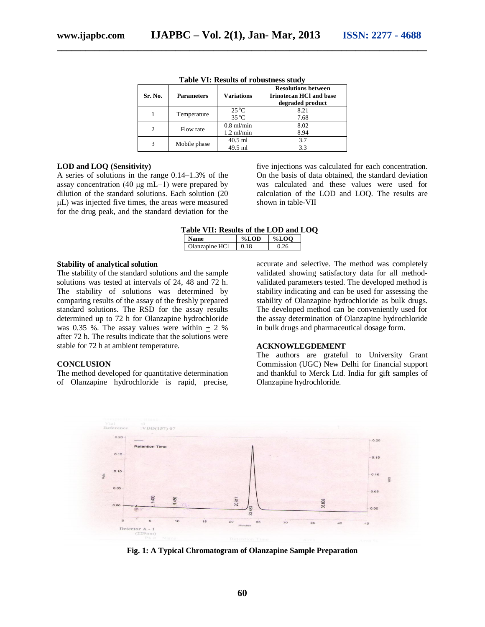| Sr. No. | <b>Parameters</b> | <b>Variations</b>                | <b>Resolutions between</b><br><b>Irinotecan HCI and base</b><br>degraded product |
|---------|-------------------|----------------------------------|----------------------------------------------------------------------------------|
|         | Temperature       | $25^{\circ}$ C<br>$35^{\circ}$ C | 8.21<br>7.68                                                                     |
| 2       | Flow rate         | $0.8$ ml/min<br>$1.2$ ml/min     | 8.02<br>8.94                                                                     |
| 3       | Mobile phase      | $40.5$ ml<br>49.5 ml             | 3.7<br>3.3                                                                       |

**Table VI: Results of robustness study**

#### **LOD and LOQ (Sensitivity)**

A series of solutions in the range 0.14–1.3% of the assay concentration (40 μg mL−1) were prepared by dilution of the standard solutions. Each solution (20 μL) was injected five times, the areas were measured for the drug peak, and the standard deviation for the five injections was calculated for each concentration. On the basis of data obtained, the standard deviation was calculated and these values were used for calculation of the LOD and LOQ. The results are shown in table-VII

#### **Table VII: Results of the LOD and LOQ**

|              | ΩĐ | ഹ |
|--------------|----|---|
| HCl<br>$-20$ |    |   |

#### **Stability of analytical solution**

The stability of the standard solutions and the sample solutions was tested at intervals of 24, 48 and 72 h. The stability of solutions was determined by comparing results of the assay of the freshly prepared standard solutions. The RSD for the assay results determined up to 72 h for Olanzapine hydrochloride was 0.35 %. The assay values were within  $+ 2$  % after 72 h. The results indicate that the solutions were stable for 72 h at ambient temperature.

#### **CONCLUSION**

The method developed for quantitative determination of Olanzapine hydrochloride is rapid, precise, accurate and selective. The method was completely validated showing satisfactory data for all methodvalidated parameters tested. The developed method is stability indicating and can be used for assessing the stability of Olanzapine hydrochloride as bulk drugs. The developed method can be conveniently used for the assay determination of Olanzapine hydrochloride in bulk drugs and pharmaceutical dosage form.

#### **ACKNOWLEGDEMENT**

The authors are grateful to University Grant Commission (UGC) New Delhi for financial support and thankful to Merck Ltd. India for gift samples of Olanzapine hydrochloride.



**Fig. 1: A Typical Chromatogram of Olanzapine Sample Preparation**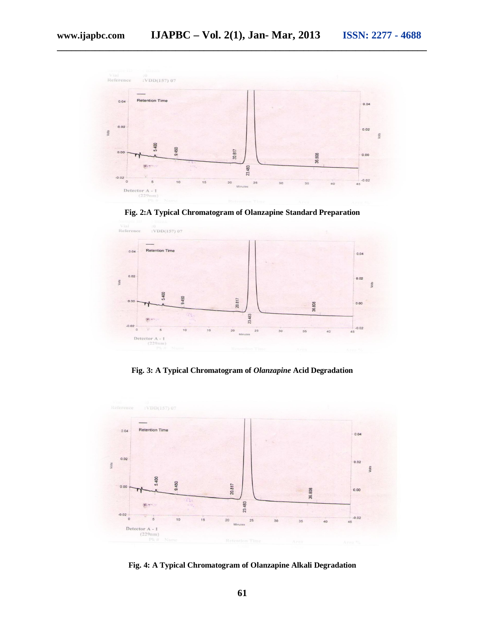

**\_\_\_\_\_\_\_\_\_\_\_\_\_\_\_\_\_\_\_\_\_\_\_\_\_\_\_\_\_\_\_\_\_\_\_\_\_\_\_\_\_\_\_\_\_\_\_\_\_\_\_\_\_\_\_\_\_\_\_\_\_\_\_\_\_\_\_\_\_\_\_\_\_\_\_\_\_\_**

**Fig. 2:A Typical Chromatogram of Olanzapine Standard Preparation**



**Fig. 3: A Typical Chromatogram of** *Olanzapine* **Acid Degradation**



**Fig. 4: A Typical Chromatogram of Olanzapine Alkali Degradation**